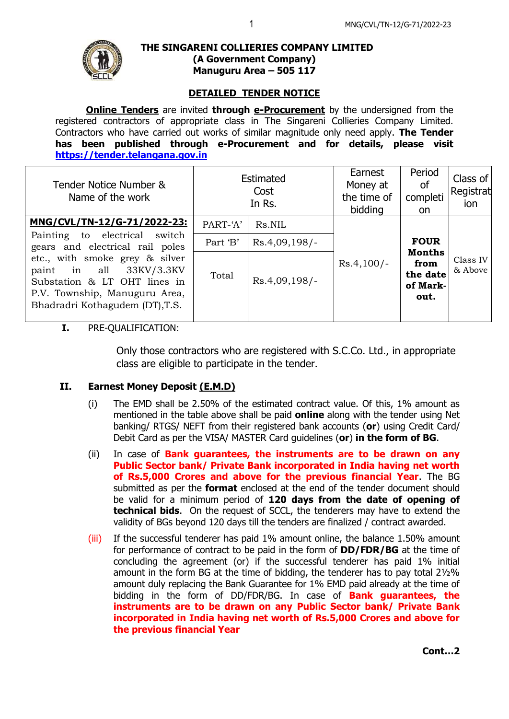

#### **THE SINGARENI COLLIERIES COMPANY LIMITED (A Government Company) Manuguru Area – 505 117**

## **DETAILED TENDER NOTICE**

**Online Tenders** are invited **through e-Procurement** by the undersigned from the registered contractors of appropriate class in The Singareni Collieries Company Limited. Contractors who have carried out works of similar magnitude only need apply. **The Tender has been published through e-Procurement and for details, please visit [https://tender.telangana.gov.in](https://tender.telangana.gov.in/)**

|          | Cost<br>In Rs.  | Earnest<br>Money at<br>the time of<br>bidding | Period<br><b>of</b><br>completi<br><sub>on</sub>                     | Class of<br>Registrat<br>ion |
|----------|-----------------|-----------------------------------------------|----------------------------------------------------------------------|------------------------------|
| PART-'A' | Rs.NIL          |                                               |                                                                      |                              |
| Part 'B' | $Rs.4,09,198/-$ | $Rs.4,100/-$                                  | <b>FOUR</b><br><b>Months</b><br>from<br>the date<br>of Mark-<br>out. | Class IV<br>& Above          |
| Total    | $Rs.4,09,198/-$ |                                               |                                                                      |                              |
|          |                 | Estimated                                     |                                                                      |                              |

# **I.** PRE-QUALIFICATION:

Only those contractors who are registered with S.C.Co. Ltd., in appropriate class are eligible to participate in the tender.

### **II. Earnest Money Deposit (E.M.D)**

- (i) The EMD shall be 2.50% of the estimated contract value. Of this, 1% amount as mentioned in the table above shall be paid **online** along with the tender using Net banking/ RTGS/ NEFT from their registered bank accounts (**or**) using Credit Card/ Debit Card as per the VISA/ MASTER Card guidelines (**or**) **in the form of BG**.
- (ii) In case of **Bank guarantees, the instruments are to be drawn on any Public Sector bank/ Private Bank incorporated in India having net worth of Rs.5,000 Crores and above for the previous financial Year**. The BG submitted as per the **format** enclosed at the end of the tender document should be valid for a minimum period of **120 days from the date of opening of technical bids**. On the request of SCCL, the tenderers may have to extend the validity of BGs beyond 120 days till the tenders are finalized / contract awarded.
- (iii) If the successful tenderer has paid 1% amount online, the balance 1.50% amount for performance of contract to be paid in the form of **DD/FDR/BG** at the time of concluding the agreement (or) if the successful tenderer has paid 1% initial amount in the form BG at the time of bidding, the tenderer has to pay total 2½% amount duly replacing the Bank Guarantee for 1% EMD paid already at the time of bidding in the form of DD/FDR/BG. In case of **Bank guarantees, the instruments are to be drawn on any Public Sector bank/ Private Bank incorporated in India having net worth of Rs.5,000 Crores and above for the previous financial Year**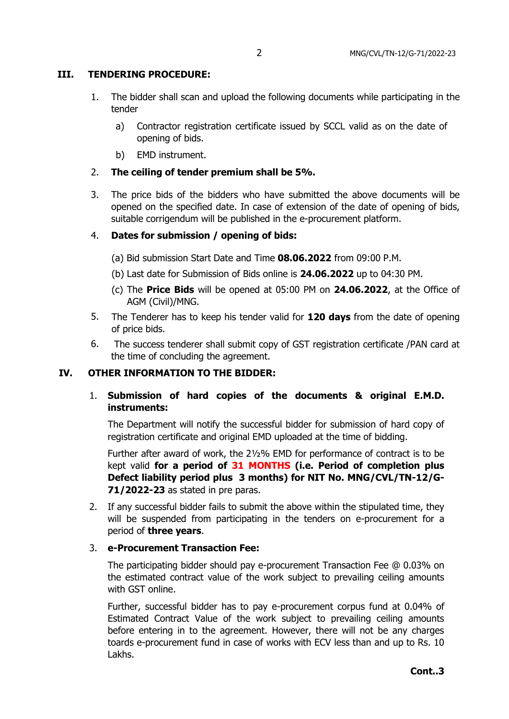## **III. TENDERING PROCEDURE:**

- 1. The bidder shall scan and upload the following documents while participating in the tender
	- a) Contractor registration certificate issued by SCCL valid as on the date of opening of bids.
	- b) EMD instrument.
- 2. **The ceiling of tender premium shall be 5%.**
- 3. The price bids of the bidders who have submitted the above documents will be opened on the specified date. In case of extension of the date of opening of bids, suitable corrigendum will be published in the e-procurement platform.

## 4. **Dates for submission / opening of bids:**

- (a) Bid submission Start Date and Time **08.06.2022** from 09:00 P.M.
- (b) Last date for Submission of Bids online is **24.06.2022** up to 04:30 PM.
- (c) The **Price Bids** will be opened at 05:00 PM on **24.06.2022**, at the Office of AGM (Civil)/MNG.
- 5. The Tenderer has to keep his tender valid for **120 days** from the date of opening of price bids.
- 6. The success tenderer shall submit copy of GST registration certificate /PAN card at the time of concluding the agreement.

### **IV. OTHER INFORMATION TO THE BIDDER:**

# 1. **Submission of hard copies of the documents & original E.M.D. instruments:**

The Department will notify the successful bidder for submission of hard copy of registration certificate and original EMD uploaded at the time of bidding.

Further after award of work, the 2½% EMD for performance of contract is to be kept valid **for a period of 31 MONTHS (i.e. Period of completion plus Defect liability period plus 3 months) for NIT No. MNG/CVL/TN-12/G-71/2022-23** as stated in pre paras.

2. If any successful bidder fails to submit the above within the stipulated time, they will be suspended from participating in the tenders on e-procurement for a period of **three years**.

### 3. **e-Procurement Transaction Fee:**

The participating bidder should pay e-procurement Transaction Fee @ 0.03% on the estimated contract value of the work subject to prevailing ceiling amounts with GST online.

Further, successful bidder has to pay e-procurement corpus fund at 0.04% of Estimated Contract Value of the work subject to prevailing ceiling amounts before entering in to the agreement. However, there will not be any charges toards e-procurement fund in case of works with ECV less than and up to Rs. 10 Lakhs.